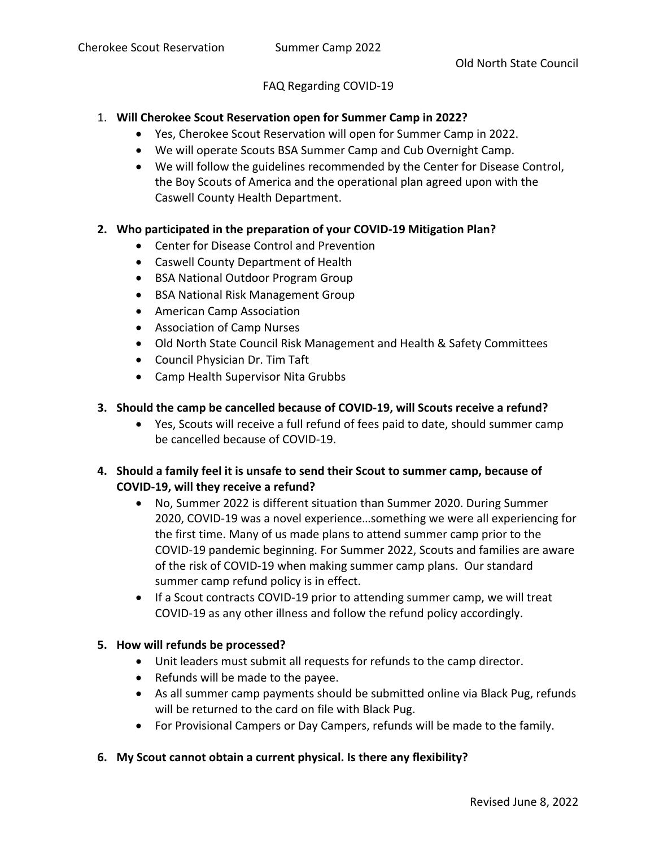## FAQ Regarding COVID-19

## 1. **Will Cherokee Scout Reservation open for Summer Camp in 2022?**

- Yes, Cherokee Scout Reservation will open for Summer Camp in 2022.
- We will operate Scouts BSA Summer Camp and Cub Overnight Camp.
- We will follow the guidelines recommended by the Center for Disease Control, the Boy Scouts of America and the operational plan agreed upon with the Caswell County Health Department.

## **2. Who participated in the preparation of your COVID-19 Mitigation Plan?**

- Center for Disease Control and Prevention
- Caswell County Department of Health
- BSA National Outdoor Program Group
- BSA National Risk Management Group
- American Camp Association
- Association of Camp Nurses
- Old North State Council Risk Management and Health & Safety Committees
- Council Physician Dr. Tim Taft
- Camp Health Supervisor Nita Grubbs

## **3. Should the camp be cancelled because of COVID-19, will Scouts receive a refund?**

• Yes, Scouts will receive a full refund of fees paid to date, should summer camp be cancelled because of COVID-19.

# **4. Should a family feel it is unsafe to send their Scout to summer camp, because of COVID-19, will they receive a refund?**

- No, Summer 2022 is different situation than Summer 2020. During Summer 2020, COVID-19 was a novel experience…something we were all experiencing for the first time. Many of us made plans to attend summer camp prior to the COVID-19 pandemic beginning. For Summer 2022, Scouts and families are aware of the risk of COVID-19 when making summer camp plans. Our standard summer camp refund policy is in effect.
- If a Scout contracts COVID-19 prior to attending summer camp, we will treat COVID-19 as any other illness and follow the refund policy accordingly.

## **5. How will refunds be processed?**

- Unit leaders must submit all requests for refunds to the camp director.
- Refunds will be made to the payee.
- As all summer camp payments should be submitted online via Black Pug, refunds will be returned to the card on file with Black Pug.
- For Provisional Campers or Day Campers, refunds will be made to the family.

## **6. My Scout cannot obtain a current physical. Is there any flexibility?**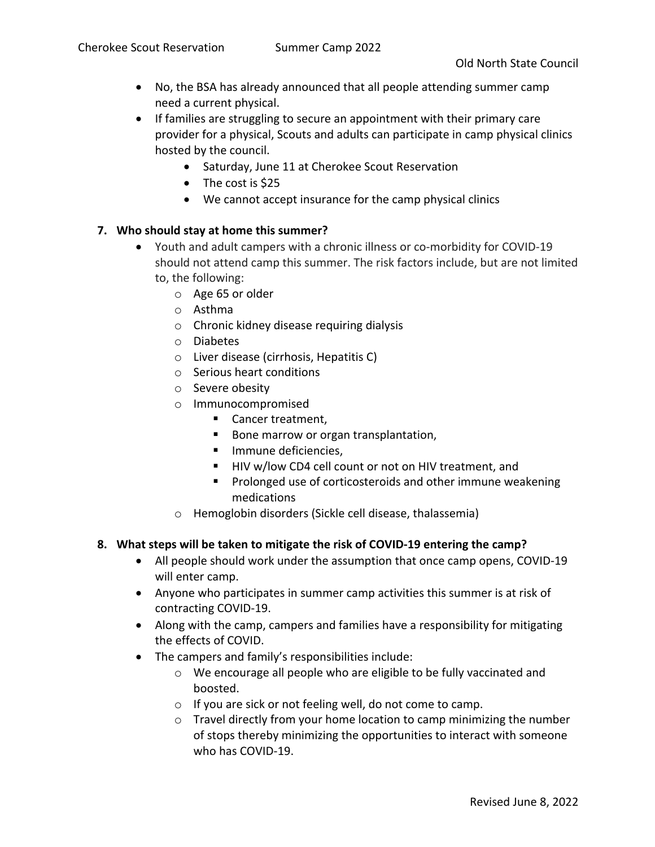- No, the BSA has already announced that all people attending summer camp need a current physical.
- If families are struggling to secure an appointment with their primary care provider for a physical, Scouts and adults can participate in camp physical clinics hosted by the council.
	- Saturday, June 11 at Cherokee Scout Reservation
	- The cost is \$25
	- We cannot accept insurance for the camp physical clinics

# **7. Who should stay at home this summer?**

- Youth and adult campers with a chronic illness or co-morbidity for COVID-19 should not attend camp this summer. The risk factors include, but are not limited to, the following:
	- o Age 65 or older
	- o Asthma
	- o Chronic kidney disease requiring dialysis
	- o Diabetes
	- o Liver disease (cirrhosis, Hepatitis C)
	- o Serious heart conditions
	- o Severe obesity
	- o Immunocompromised
		- Cancer treatment,
		- Bone marrow or organ transplantation,
		- Immune deficiencies,
		- HIV w/low CD4 cell count or not on HIV treatment, and
		- § Prolonged use of corticosteroids and other immune weakening medications
	- o Hemoglobin disorders (Sickle cell disease, thalassemia)

## **8. What steps will be taken to mitigate the risk of COVID-19 entering the camp?**

- All people should work under the assumption that once camp opens, COVID-19 will enter camp.
- Anyone who participates in summer camp activities this summer is at risk of contracting COVID-19.
- Along with the camp, campers and families have a responsibility for mitigating the effects of COVID.
- The campers and family's responsibilities include:
	- o We encourage all people who are eligible to be fully vaccinated and boosted.
	- o If you are sick or not feeling well, do not come to camp.
	- o Travel directly from your home location to camp minimizing the number of stops thereby minimizing the opportunities to interact with someone who has COVID-19.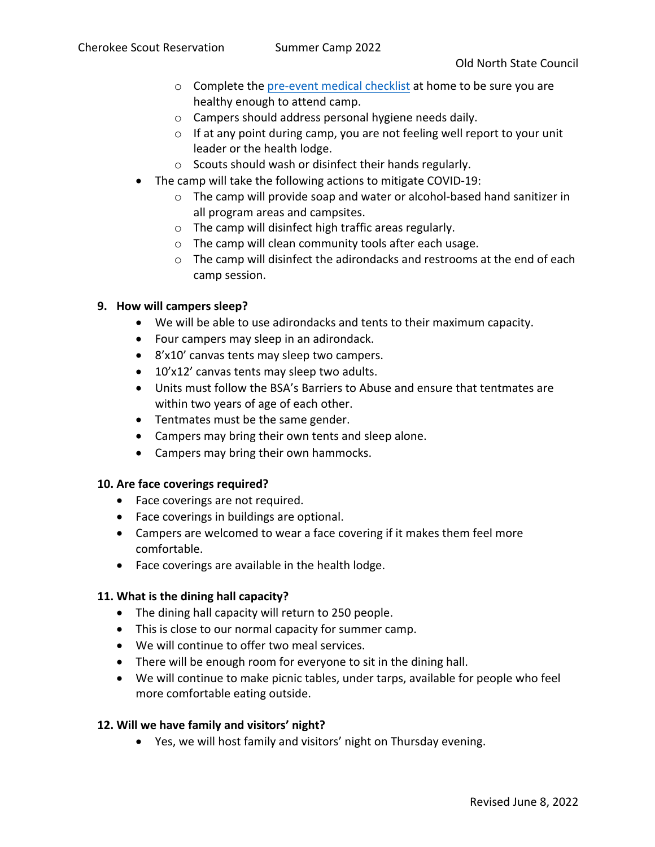- $\circ$  Complete the pre-event medical checklist at home to be sure you are healthy enough to attend camp.
- o Campers should address personal hygiene needs daily.
- o If at any point during camp, you are not feeling well report to your unit leader or the health lodge.
- o Scouts should wash or disinfect their hands regularly.
- The camp will take the following actions to mitigate COVID-19:
	- o The camp will provide soap and water or alcohol-based hand sanitizer in all program areas and campsites.
	- o The camp will disinfect high traffic areas regularly.
	- o The camp will clean community tools after each usage.
	- o The camp will disinfect the adirondacks and restrooms at the end of each camp session.

## **9. How will campers sleep?**

- We will be able to use adirondacks and tents to their maximum capacity.
- Four campers may sleep in an adirondack.
- 8'x10' canvas tents may sleep two campers.
- 10'x12' canvas tents may sleep two adults.
- Units must follow the BSA's Barriers to Abuse and ensure that tentmates are within two years of age of each other.
- Tentmates must be the same gender.
- Campers may bring their own tents and sleep alone.
- Campers may bring their own hammocks.

## **10. Are face coverings required?**

- Face coverings are not required.
- Face coverings in buildings are optional.
- Campers are welcomed to wear a face covering if it makes them feel more comfortable.
- Face coverings are available in the health lodge.

## **11. What is the dining hall capacity?**

- The dining hall capacity will return to 250 people.
- This is close to our normal capacity for summer camp.
- We will continue to offer two meal services.
- There will be enough room for everyone to sit in the dining hall.
- We will continue to make picnic tables, under tarps, available for people who feel more comfortable eating outside.

## **12. Will we have family and visitors' night?**

• Yes, we will host family and visitors' night on Thursday evening.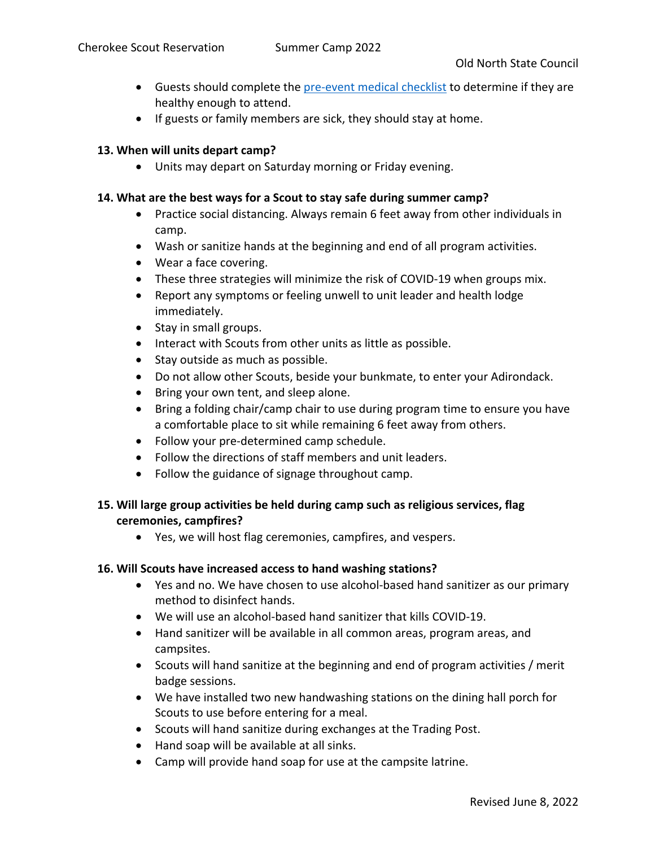- Guests should complete the pre-event medical checklist to determine if they are healthy enough to attend.
- If guests or family members are sick, they should stay at home.

## **13. When will units depart camp?**

• Units may depart on Saturday morning or Friday evening.

#### **14. What are the best ways for a Scout to stay safe during summer camp?**

- Practice social distancing. Always remain 6 feet away from other individuals in camp.
- Wash or sanitize hands at the beginning and end of all program activities.
- Wear a face covering.
- These three strategies will minimize the risk of COVID-19 when groups mix.
- Report any symptoms or feeling unwell to unit leader and health lodge immediately.
- Stay in small groups.
- Interact with Scouts from other units as little as possible.
- Stay outside as much as possible.
- Do not allow other Scouts, beside your bunkmate, to enter your Adirondack.
- Bring your own tent, and sleep alone.
- Bring a folding chair/camp chair to use during program time to ensure you have a comfortable place to sit while remaining 6 feet away from others.
- Follow your pre-determined camp schedule.
- Follow the directions of staff members and unit leaders.
- Follow the guidance of signage throughout camp.

## **15. Will large group activities be held during camp such as religious services, flag ceremonies, campfires?**

• Yes, we will host flag ceremonies, campfires, and vespers.

## **16. Will Scouts have increased access to hand washing stations?**

- Yes and no. We have chosen to use alcohol-based hand sanitizer as our primary method to disinfect hands.
- We will use an alcohol-based hand sanitizer that kills COVID-19.
- Hand sanitizer will be available in all common areas, program areas, and campsites.
- Scouts will hand sanitize at the beginning and end of program activities / merit badge sessions.
- We have installed two new handwashing stations on the dining hall porch for Scouts to use before entering for a meal.
- Scouts will hand sanitize during exchanges at the Trading Post.
- Hand soap will be available at all sinks.
- Camp will provide hand soap for use at the campsite latrine.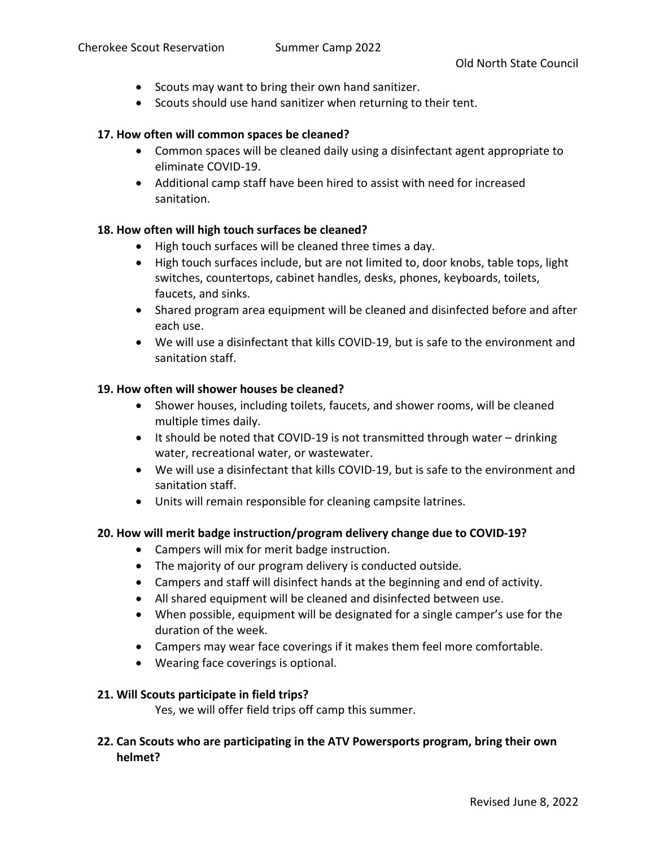- Scouts may want to bring their own hand sanitizer.
- Scouts should use hand sanitizer when returning to their tent.

#### **17. How often will common spaces be cleaned?**

- Common spaces will be cleaned daily using a disinfectant agent appropriate to eliminate COVID-19.
- Additional camp staff have been hired to assist with need for increased sanitation.

## **18. How often will high touch surfaces be cleaned?**

- High touch surfaces will be cleaned three times a day.
- High touch surfaces include, but are not limited to, door knobs, table tops, light switches, countertops, cabinet handles, desks, phones, keyboards, toilets, faucets, and sinks.
- Shared program area equipment will be cleaned and disinfected before and after each use.
- We will use a disinfectant that kills COVID-19, but is safe to the environment and sanitation staff.

#### **19. How often will shower houses be cleaned?**

- Shower houses, including toilets, faucets, and shower rooms, will be cleaned multiple times daily.
- It should be noted that COVID-19 is not transmitted through water drinking water, recreational water, or wastewater.
- We will use a disinfectant that kills COVID-19, but is safe to the environment and sanitation staff.
- Units will remain responsible for cleaning campsite latrines.

## **20. How will merit badge instruction/program delivery change due to COVID-19?**

- Campers will mix for merit badge instruction.
- The majority of our program delivery is conducted outside.
- Campers and staff will disinfect hands at the beginning and end of activity.
- All shared equipment will be cleaned and disinfected between use.
- When possible, equipment will be designated for a single camper's use for the duration of the week.
- Campers may wear face coverings if it makes them feel more comfortable.
- Wearing face coverings is optional.

## **21. Will Scouts participate in field trips?**

Yes, we will offer field trips off camp this summer.

# **22. Can Scouts who are participating in the ATV Powersports program, bring their own helmet?**